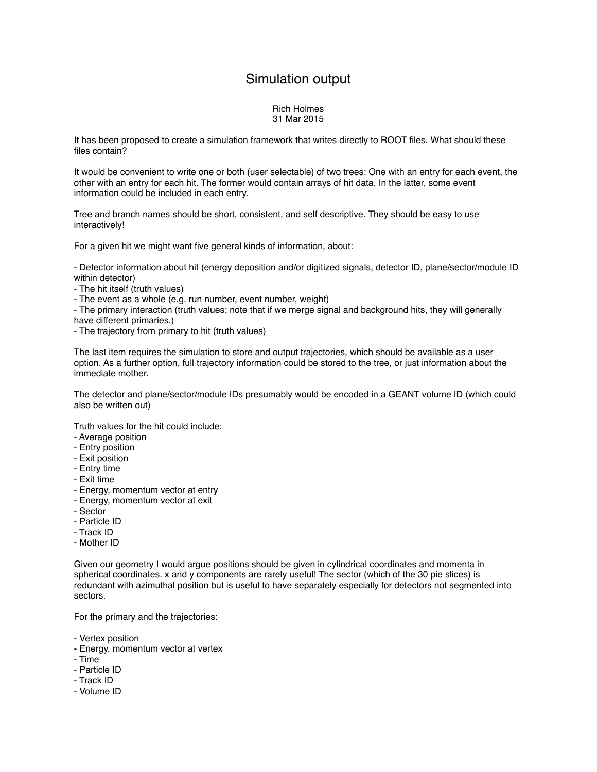## Simulation output

## Rich Holmes 31 Mar 2015

It has been proposed to create a simulation framework that writes directly to ROOT files. What should these files contain?

It would be convenient to write one or both (user selectable) of two trees: One with an entry for each event, the other with an entry for each hit. The former would contain arrays of hit data. In the latter, some event information could be included in each entry.

Tree and branch names should be short, consistent, and self descriptive. They should be easy to use interactively!

For a given hit we might want five general kinds of information, about:

- Detector information about hit (energy deposition and/or digitized signals, detector ID, plane/sector/module ID within detector)

- The hit itself (truth values)

- The event as a whole (e.g. run number, event number, weight)

- The primary interaction (truth values; note that if we merge signal and background hits, they will generally have different primaries.)

- The trajectory from primary to hit (truth values)

The last item requires the simulation to store and output trajectories, which should be available as a user option. As a further option, full trajectory information could be stored to the tree, or just information about the immediate mother.

The detector and plane/sector/module IDs presumably would be encoded in a GEANT volume ID (which could also be written out)

Truth values for the hit could include:

- Average position
- Entry position
- Exit position
- Entry time
- Exit time
- Energy, momentum vector at entry
- Energy, momentum vector at exit
- Sector
- Particle ID
- Track ID
- Mother ID

Given our geometry I would argue positions should be given in cylindrical coordinates and momenta in spherical coordinates. x and y components are rarely useful! The sector (which of the 30 pie slices) is redundant with azimuthal position but is useful to have separately especially for detectors not segmented into sectors.

For the primary and the trajectories:

- Vertex position
- Energy, momentum vector at vertex
- Time
- Particle ID
- Track ID
- Volume ID